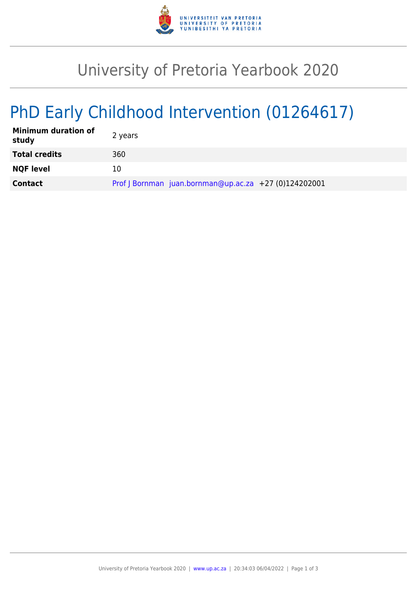

# University of Pretoria Yearbook 2020

# PhD Early Childhood Intervention (01264617)

| <b>Minimum duration of</b><br>study | 2 years                                               |
|-------------------------------------|-------------------------------------------------------|
| <b>Total credits</b>                | 360                                                   |
| <b>NQF level</b>                    | 10                                                    |
| <b>Contact</b>                      | Prof J Bornman juan.bornman@up.ac.za +27 (0)124202001 |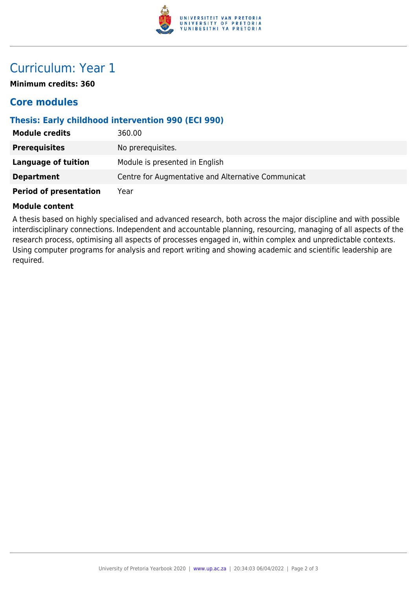

## Curriculum: Year 1

**Minimum credits: 360**

### **Core modules**

#### **Thesis: Early childhood intervention 990 (ECI 990)**

| <b>Module credits</b>         | 360.00                                             |
|-------------------------------|----------------------------------------------------|
| <b>Prerequisites</b>          | No prerequisites.                                  |
| Language of tuition           | Module is presented in English                     |
| <b>Department</b>             | Centre for Augmentative and Alternative Communicat |
| <b>Period of presentation</b> | Year                                               |

#### **Module content**

A thesis based on highly specialised and advanced research, both across the major discipline and with possible interdisciplinary connections. Independent and accountable planning, resourcing, managing of all aspects of the research process, optimising all aspects of processes engaged in, within complex and unpredictable contexts. Using computer programs for analysis and report writing and showing academic and scientific leadership are required.